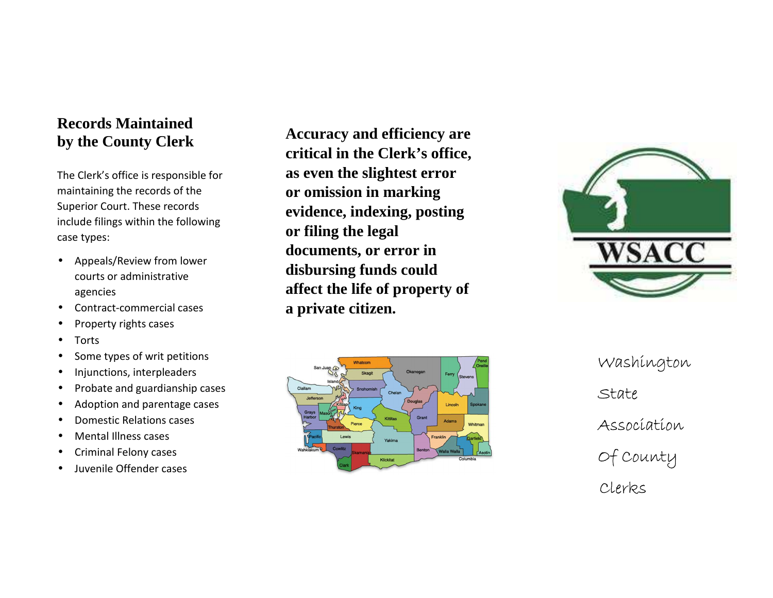# **Records Maintained by the County Clerk**

The Clerk's office is responsible for maintaining the records of the Superior Court. These records include filings within the following case types:

- $\bullet$  Appeals/Review from lower courts or administrative agencies
- •Contract-commercial cases
- •Property rights cases
- •Torts
- •Some types of writ petitions
- •Injunctions, interpleaders
- •Probate and guardianship cases
- •Adoption and parentage cases
- •Domestic Relations cases
- •Mental Illness cases
- •Criminal Felony cases
- •Juvenile Offender cases

**Accuracy and efficiency are critical in the Clerk's office, as even the slightest error or omission in marking evidence, indexing, posting or filing the legal documents, or error in disbursing funds could affect the life of property of a private citizen.** 





Washington<br>State<br>Association<br>Of County<br>Clerks